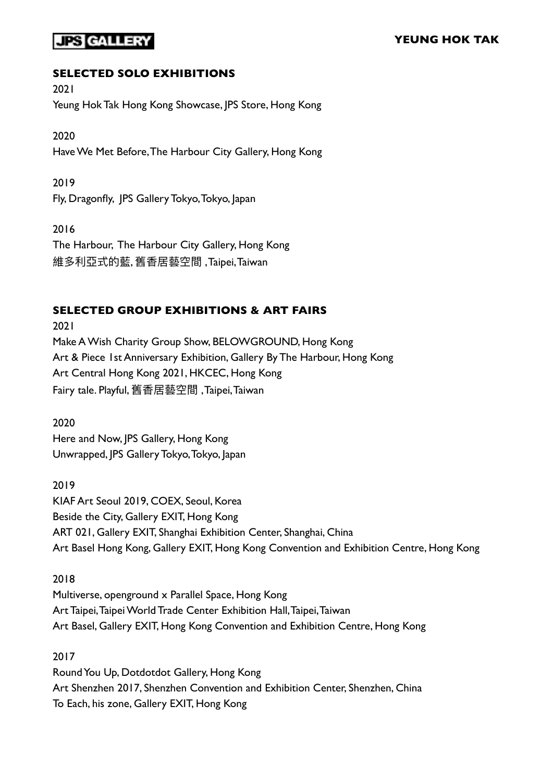## JPS CALLER

## **SELECTED SOLO EXHIBITIONS**

2021 Yeung Hok Tak Hong Kong Showcase, JPS Store, Hong Kong

2020 Have We Met Before, The Harbour City Gallery, Hong Kong

2019 Fly, Dragonfly, JPS Gallery Tokyo, Tokyo, Japan

2016 The Harbour, The Harbour City Gallery, Hong Kong 維多利亞式的藍, 舊香居藝空間, Taipei, Taiwan

## **SELECTED GROUP EXHIBITIONS & ART FAIRS**

2021 Make A Wish Charity Group Show, BELOWGROUND, Hong Kong Art & Piece 1st Anniversary Exhibition, Gallery By The Harbour, Hong Kong Art Central Hong Kong 2021, HKCEC, Hong Kong Fairy tale. Playful, 舊香居藝空間 , Taipei, Taiwan

2020 Here and Now, JPS Gallery, Hong Kong Unwrapped, JPS Gallery Tokyo, Tokyo, Japan

2019 KIAF Art Seoul 2019, COEX, Seoul, Korea Beside the City, Gallery EXIT, Hong Kong ART 021, Gallery EXIT, Shanghai Exhibition Center, Shanghai, China Art Basel Hong Kong, Gallery EXIT, Hong Kong Convention and Exhibition Centre, Hong Kong

2018 Multiverse, openground x Parallel Space, Hong Kong Art Taipei, Taipei World Trade Center Exhibition Hall, Taipei, Taiwan Art Basel, Gallery EXIT, Hong Kong Convention and Exhibition Centre, Hong Kong

2017 Round You Up, Dotdotdot Gallery, Hong Kong Art Shenzhen 2017, Shenzhen Convention and Exhibition Center, Shenzhen, China To Each, his zone, Gallery EXIT, Hong Kong